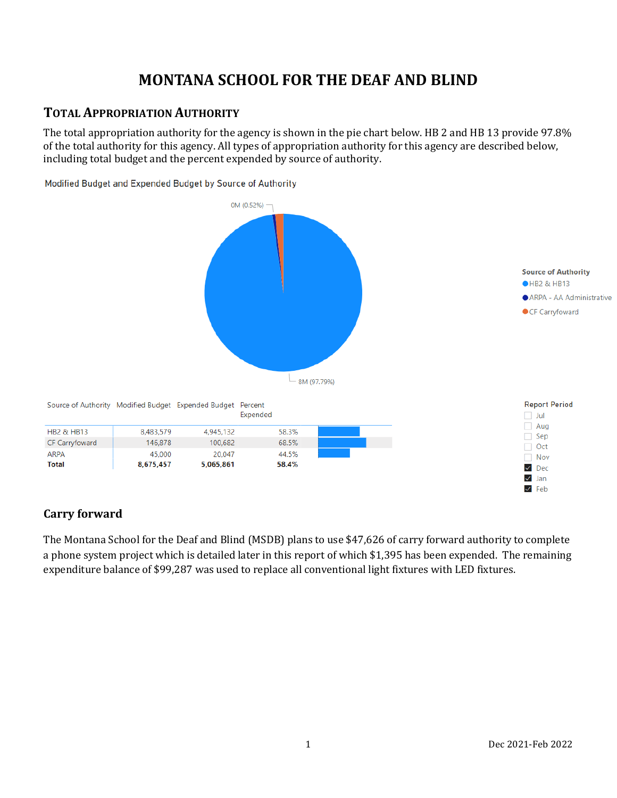# **MONTANA SCHOOL FOR THE DEAF AND BLIND**

## **TOTAL APPROPRIATION AUTHORITY**

The total appropriation authority for the agency is shown in the pie chart below. HB 2 and HB 13 provide 97.8% of the total authority for this agency. All types of appropriation authority for this agency are described below, including total budget and the percent expended by source of authority.

Modified Budget and Expended Budget by Source of Authority



### **Carry forward**

The Montana School for the Deaf and Blind (MSDB) plans to use \$47,626 of carry forward authority to complete a phone system project which is detailed later in this report of which \$1,395 has been expended. The remaining expenditure balance of \$99,287 was used to replace all conventional light fixtures with LED fixtures.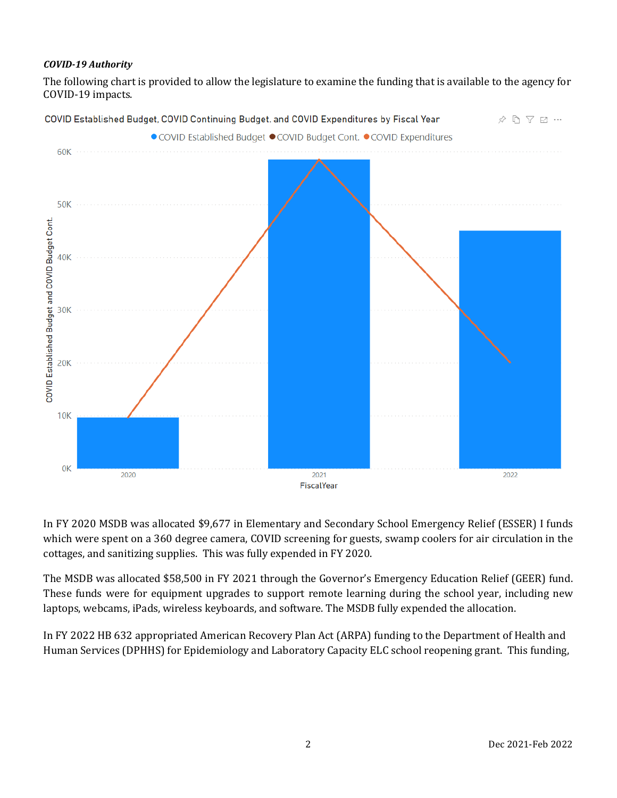#### *COVID-19 Authority*

The following chart is provided to allow the legislature to examine the funding that is available to the agency for COVID-19 impacts.



In FY 2020 MSDB was allocated \$9,677 in Elementary and Secondary School Emergency Relief (ESSER) I funds which were spent on a 360 degree camera, COVID screening for guests, swamp coolers for air circulation in the cottages, and sanitizing supplies. This was fully expended in FY 2020.

The MSDB was allocated \$58,500 in FY 2021 through the Governor's Emergency Education Relief (GEER) fund. These funds were for equipment upgrades to support remote learning during the school year, including new laptops, webcams, iPads, wireless keyboards, and software. The MSDB fully expended the allocation.

In FY 2022 HB 632 appropriated American Recovery Plan Act (ARPA) funding to the Department of Health and Human Services (DPHHS) for Epidemiology and Laboratory Capacity ELC school reopening grant. This funding,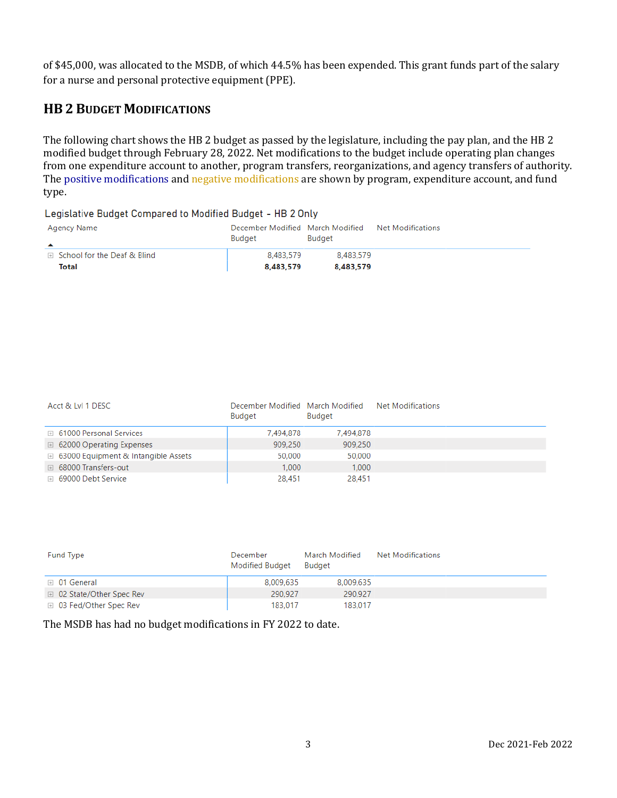of \$45,000, was allocated to the MSDB, of which 44.5% has been expended. This grant funds part of the salary for a nurse and personal protective equipment (PPE).

## **HB 2 BUDGET MODIFICATIONS**

The following chart shows the HB 2 budget as passed by the legislature, including the pay plan, and the HB 2 modified budget through February 28, 2022. Net modifications to the budget include operating plan changes from one expenditure account to another, program transfers, reorganizations, and agency transfers of authority. The positive modifications and negative modifications are shown by program, expenditure account, and fund type.

Legislative Budget Compared to Modified Budget - HB 2 Only

| Agency Name<br>▲              | December Modified March Modified<br>Budget | Budget    | Net Modifications |
|-------------------------------|--------------------------------------------|-----------|-------------------|
| □ School for the Deaf & Blind | 8.483.579                                  | 8.483.579 |                   |
| Total                         | 8.483.579                                  | 8.483.579 |                   |

| Acct & LvI 1 DESC                            | December Modified March Modified<br>Budget | Budget    | Net Modifications |  |
|----------------------------------------------|--------------------------------------------|-----------|-------------------|--|
| <b>E</b> 61000 Personal Services             | 7.494.878                                  | 7,494,878 |                   |  |
| □ 62000 Operating Expenses                   | 909,250                                    | 909,250   |                   |  |
| <b>E</b> 63000 Equipment & Intangible Assets | 50,000                                     | 50,000    |                   |  |
| □ 68000 Transfers-out                        | 1.000                                      | 1.000     |                   |  |
| ⊞ 69000 Debt Service                         | 28,451                                     | 28,451    |                   |  |

| <b>Fund Type</b>          | December<br>Modified Budget | March Modified<br><b>Budget</b> | Net Modifications |  |
|---------------------------|-----------------------------|---------------------------------|-------------------|--|
| $\boxplus$ 01 General     | 8,009,635                   | 8,009,635                       |                   |  |
| □ 02 State/Other Spec Rev | 290,927                     | 290.927                         |                   |  |
| ⊞ 03 Fed/Other Spec Rev   | 183.017                     | 183.017                         |                   |  |

The MSDB has had no budget modifications in FY 2022 to date.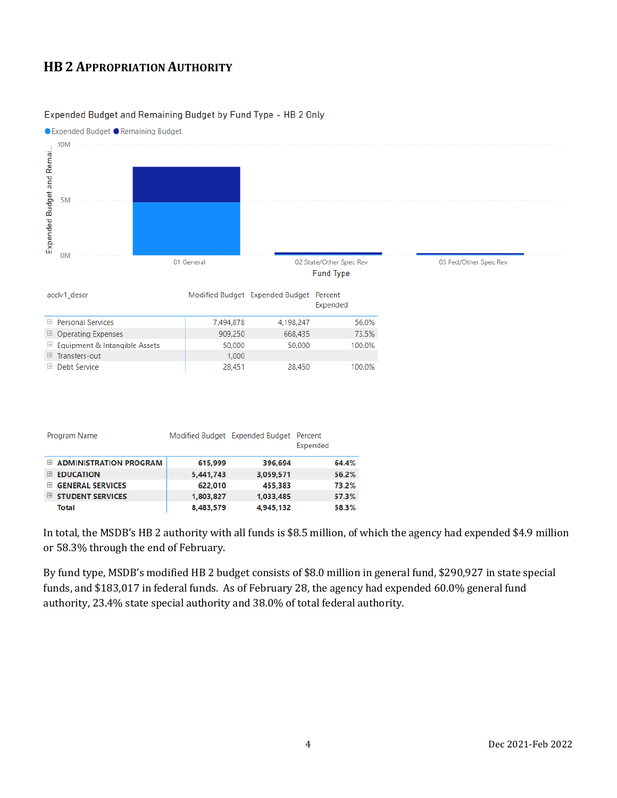## **HB 2 APPROPRIATION AUTHORITY**

#### Expended Budget and Remaining Budget by Fund Type - HB 2 Only



|                | Program Name             |           | Modified Budget Expended Budget Percent | Expended |       |
|----------------|--------------------------|-----------|-----------------------------------------|----------|-------|
|                | E ADMINISTRATION PROGRAM | 615,999   | 396,694                                 |          | 64.4% |
| $\boxplus$     | <b>EDUCATION</b>         | 5,441,743 | 3.059.571                               |          | 56.2% |
| $\overline{+}$ | <b>GENERAL SERVICES</b>  | 622,010   | 455.383                                 |          | 73.2% |
| $\pm$          | <b>STUDENT SERVICES</b>  | 1,803,827 | 1.033.485                               |          | 57.3% |
|                | Total                    | 8.483.579 | 4,945,132                               |          | 58.3% |

In total, the MSDB's HB 2 authority with all funds is \$8.5 million, of which the agency had expended \$4.9 million or 58.3% through the end of February.

By fund type, MSDB's modified HB 2 budget consists of \$8.0 million in general fund, \$290,927 in state special funds, and \$183,017 in federal funds. As of February 28, the agency had expended 60.0% general fund authority, 23.4% state special authority and 38.0% of total federal authority.